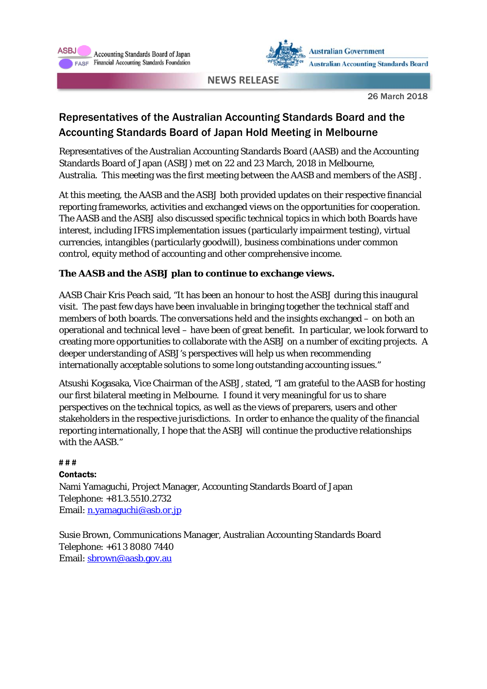



**NEWS RELEASE**

26 March 2018

# Representatives of the Australian Accounting Standards Board and the Accounting Standards Board of Japan Hold Meeting in Melbourne

Representatives of the Australian Accounting Standards Board (AASB) and the Accounting Standards Board of Japan (ASBJ) met on 22 and 23 March, 2018 in Melbourne, Australia. This meeting was the first meeting between the AASB and members of the ASBJ.

At this meeting, the AASB and the ASBJ both provided updates on their respective financial reporting frameworks, activities and exchanged views on the opportunities for cooperation. The AASB and the ASBJ also discussed specific technical topics in which both Boards have interest, including IFRS implementation issues (particularly impairment testing), virtual currencies, intangibles (particularly goodwill), business combinations under common control, equity method of accounting and other comprehensive income.

## **The AASB and the ASBJ plan to continue to exchange views.**

AASB Chair Kris Peach said, "It has been an honour to host the ASBJ during this inaugural visit. The past few days have been invaluable in bringing together the technical staff and members of both boards. The conversations held and the insights exchanged – on both an operational and technical level – have been of great benefit. In particular, we look forward to creating more opportunities to collaborate with the ASBJ on a number of exciting projects. A deeper understanding of ASBJ's perspectives will help us when recommending internationally acceptable solutions to some long outstanding accounting issues."

Atsushi Kogasaka, Vice Chairman of the ASBJ, stated, "I am grateful to the AASB for hosting our first bilateral meeting in Melbourne. I found it very meaningful for us to share perspectives on the technical topics, as well as the views of preparers, users and other stakeholders in the respective jurisdictions. In order to enhance the quality of the financial reporting internationally, I hope that the ASBJ will continue the productive relationships with the AASB."

### **# # #**

#### Contacts:

Nami Yamaguchi, Project Manager, Accounting Standards Board of Japan Telephone: +81.3.5510.2732 Email: n.yamaguchi@asb.or.jp

Susie Brown, Communications Manager, Australian Accounting Standards Board Telephone: +61 3 8080 7440 Email: sbrown@aasb.gov.au